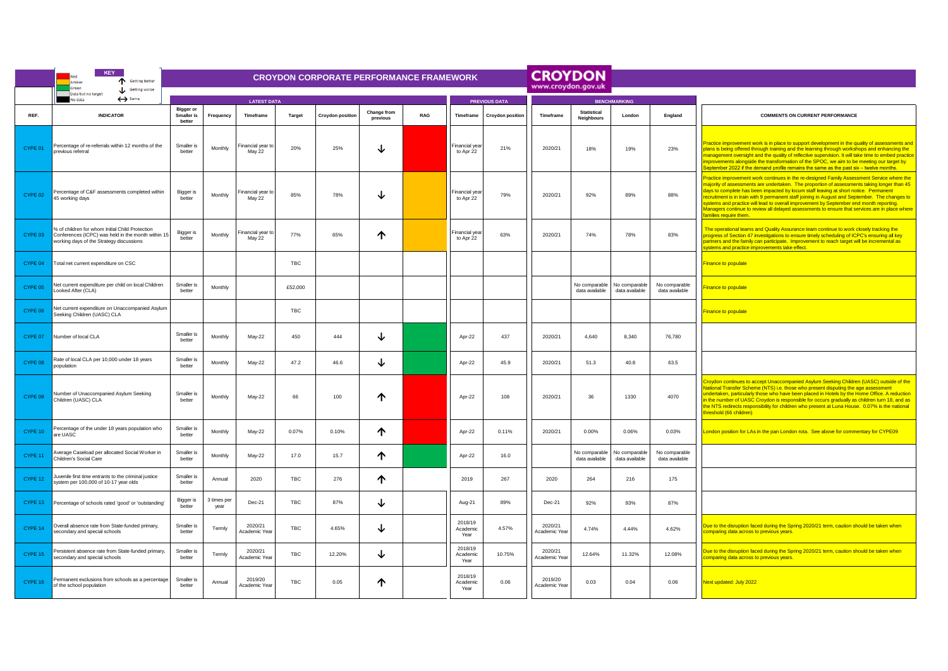|         | <b>KEY</b><br>Getting better<br>Amber                                                                                                             | <b>CROYDON CORPORATE PERFORMANCE FRAMEWORK</b>  |                     |                             |            |                         |                         |     |                             |                         |                          | <b>CROYDON</b>                   |                                 |                                 |                                                                                                                                                                                                                                                                                                                                                                                                                                                                                                                                                                                                           |
|---------|---------------------------------------------------------------------------------------------------------------------------------------------------|-------------------------------------------------|---------------------|-----------------------------|------------|-------------------------|-------------------------|-----|-----------------------------|-------------------------|--------------------------|----------------------------------|---------------------------------|---------------------------------|-----------------------------------------------------------------------------------------------------------------------------------------------------------------------------------------------------------------------------------------------------------------------------------------------------------------------------------------------------------------------------------------------------------------------------------------------------------------------------------------------------------------------------------------------------------------------------------------------------------|
|         | Green<br>Getting worse<br>Data but no target                                                                                                      |                                                 |                     |                             |            |                         |                         |     |                             |                         | www.croydon.gov.uk       |                                  |                                 |                                 |                                                                                                                                                                                                                                                                                                                                                                                                                                                                                                                                                                                                           |
|         | $\leftrightarrow$ Same<br>No data                                                                                                                 | <b>LATEST DATA</b>                              |                     |                             |            |                         |                         |     | <b>PREVIOUS DATA</b>        | <b>BENCHMARKING</b>     |                          |                                  |                                 |                                 |                                                                                                                                                                                                                                                                                                                                                                                                                                                                                                                                                                                                           |
| REF.    | <b>INDICATOR</b>                                                                                                                                  | <b>Bigger or</b><br><b>Smaller</b> is<br>better | Frequency           | Timeframe                   | Target     | <b>Croydon position</b> | Change from<br>previous | RAG | Timeframe                   | <b>Croydon position</b> | Timeframe                | <b>Statistical</b><br>Neighbours | London                          | England                         | <b>COMMENTS ON CURRENT PERFORMANCE</b>                                                                                                                                                                                                                                                                                                                                                                                                                                                                                                                                                                    |
| CYPE 01 | Percentage of re-referrals within 12 months of the<br>previous referral                                                                           | Smaller is<br>better                            | Monthly             | Financial vear to<br>May 22 | 20%        | 25%                     | ↓                       |     | Financial vea<br>to Apr 22  | 21%                     | 2020/21                  | 18%                              | 19%                             | 23%                             | Practice improvement work is in place to support development in the quality of assessments and<br>plans is being offered through training and the learning through workshops and enhancing the<br>management oversight and the quality of reflective supervision. It will take time to embed practice<br>mprovements alongside the transformation of the SPOC, we aim to be meeting our target by<br>September 2022 if the demand profile remains the same as the past six – twelve months.                                                                                                               |
| CYPE 02 | Percentage of C&F assessments completed within<br>45 working days                                                                                 | Bigger is<br>bette                              | Monthly             | Financial year to<br>May 22 | 85%        | 78%                     | ↓                       |     | Financial vea<br>to Apr 22  | 79%                     | 2020/21                  | 92%                              | 89%                             | 88%                             | Practice improvement work continues in the re-designed Family Assessment Service where the<br>majority of assessments are undertaken. The proportion of assessments taking longer than 45<br>days to complete has been impacted by locum staff leaving at short notice. Permanent<br>recruitment is in train with 9 permanent staff joining in August and September. The changes to<br>systems and practice will lead to overall improvement by September end month reporting.<br>Managers continue to review all delayed assessments to ensure that services are in place where<br>amilies require them. |
| CYPE 03 | % of children for whom Initial Child Protection<br>Conferences (ICPC) was held in the month within 15<br>working days of the Strategy discussions | Bigger is<br>hetter                             | Monthly             | Financial year to<br>May 22 | 77%        | 65%                     | ↑                       |     | Financial year<br>to Apr 22 | 63%                     | 2020/21                  | 74%                              | 78%                             | 83%                             | The operational teams and Quality Assurance team continue to work closely tracking the<br>progress of Section 47 investigations to ensure timely scheduling of ICPC's ensuring all key<br>partners and the family can participate. Improvement to reach target will be incremental as<br>systems and practice improvements take effect.                                                                                                                                                                                                                                                                   |
| CYPE 04 | Total net current expenditure on CSC                                                                                                              |                                                 |                     |                             | <b>TBC</b> |                         |                         |     |                             |                         |                          |                                  |                                 |                                 | <b>Finance to populate</b>                                                                                                                                                                                                                                                                                                                                                                                                                                                                                                                                                                                |
| CYPE 05 | Net current expenditure per child on local Children<br>ooked After (CLA)                                                                          | Smaller is<br>better                            | Monthly             |                             | £52,000    |                         |                         |     |                             |                         |                          | No comparable<br>data available  | No comparable<br>data available | No comparable<br>data available | <b>Finance to populate</b>                                                                                                                                                                                                                                                                                                                                                                                                                                                                                                                                                                                |
| CYPE 06 | Net current expenditure on Unaccompanied Asylum<br>Seeking Children (UASC) CLA                                                                    |                                                 |                     |                             | TBC        |                         |                         |     |                             |                         |                          |                                  |                                 |                                 | <b>Finance to populate</b>                                                                                                                                                                                                                                                                                                                                                                                                                                                                                                                                                                                |
| CYPE 07 | Number of local CLA                                                                                                                               | Smaller is<br>better                            | Monthly             | May-22                      | 450        | 444                     | ↓                       |     | Apr-22                      | 437                     | 2020/21                  | 4,640                            | 8,340                           | 76,780                          |                                                                                                                                                                                                                                                                                                                                                                                                                                                                                                                                                                                                           |
| CYPE 08 | Rate of local CLA per 10,000 under 18 years<br>opulation                                                                                          | Smaller is<br>better                            | Monthly             | May-22                      | 47.2       | 46.6                    | ↓                       |     | Apr-22                      | 45.9                    | 2020/21                  | 51.3                             | 40.8                            | 63.5                            |                                                                                                                                                                                                                                                                                                                                                                                                                                                                                                                                                                                                           |
| CYPE 09 | Number of Unaccompanied Asylum Seeking<br>Children (UASC) CLA                                                                                     | Smaller is<br>better                            | Monthly             | May-22                      | 66         | 100                     | ↑                       |     | Apr-22                      | 108                     | 2020/21                  | 36                               | 1330                            | 4070                            | Croydon continues to accept Unaccompanied Asylum Seeking Children (UASC) outside of the<br>Vational Transfer Scheme (NTS) i.e. those who present disputing the age assessment<br>undertaken, particularly those who have been placed in Hotels by the Home Office. A reduction<br>in the number of UASC Croydon is responsible for occurs gradually as children turn 18, and as<br>the NTS redirects responsibility for children who present at Luna House. 0.07% is the national<br>threshold (66 children)                                                                                              |
| CYPE 10 | Percentage of the under 18 years population who<br>are UASC                                                                                       | Smaller is<br>hetter                            | Monthly             | May-22                      | 0.07%      | 0.10%                   | ↑                       |     | Apr-22                      | 0.11%                   | 2020/21                  | 0.00%                            | 0.06%                           | 0.03%                           | London position for LAs in the pan London rota. See above for commentary for CYPE09                                                                                                                                                                                                                                                                                                                                                                                                                                                                                                                       |
| CYPE 11 | Average Caseload per allocated Social Worker in<br>Children's Social Care                                                                         | Smaller is<br>better                            | Monthly             | May-22                      | 17.0       | 15.7                    | ↑                       |     | Apr-22                      | 16.0                    |                          | No comparable<br>data available  | No comparable<br>data available | No comparable<br>data available |                                                                                                                                                                                                                                                                                                                                                                                                                                                                                                                                                                                                           |
| CYPE 12 | Juvenile first time entrants to the criminal justice<br>system per 100,000 of 10-17 year olds                                                     | Smaller is<br>better                            | Annual              | 2020                        | TBC        | 276                     | ↑                       |     | 2019                        | 267                     | 2020                     | 264                              | 216                             | 175                             |                                                                                                                                                                                                                                                                                                                                                                                                                                                                                                                                                                                                           |
| CYPE 13 | Percentage of schools rated 'good' or 'outstanding'                                                                                               | Bigger is<br>better                             | 3 times per<br>vear | Dec-21                      | TBC        | 87%                     | ↓                       |     | Aug-21                      | 89%                     | Dec-21                   | 92%                              | 93%                             | 87%                             |                                                                                                                                                                                                                                                                                                                                                                                                                                                                                                                                                                                                           |
| CYPE 14 | Overall absence rate from State-funded primary,<br>secondary and special schools                                                                  | Smaller is<br>better                            | Termly              | 2020/21<br>Academic Year    | TBC        | 4.65%                   | ↓                       |     | 2018/19<br>Academic<br>Year | 4.57%                   | 2020/21<br>Academic Year | 4.74%                            | 4.44%                           | 4.62%                           | Due to the disruption faced during the Spring 2020/21 term, caution should be taken when<br>comparing data across to previous years.                                                                                                                                                                                                                                                                                                                                                                                                                                                                      |
| CYPE 15 | Persistent absence rate from State-funded primary,<br>secondary and special schools                                                               | Smaller is<br>better                            | Termly              | 2020/21<br>Academic Year    | TBC        | 12.20%                  | ↓                       |     | 2018/19<br>Academic<br>Year | 10.75%                  | 2020/21<br>Academic Year | 12.64%                           | 11.32%                          | 12.08%                          | Due to the disruption faced during the Spring 2020/21 term, caution should be taken when<br>comparing data across to previous years.                                                                                                                                                                                                                                                                                                                                                                                                                                                                      |
| CYPE 16 | Permanent exclusions from schools as a percentage<br>of the school population                                                                     | Smaller is<br>better                            | Annual              | 2019/20<br>Academic Year    | TBC        | 0.05                    | ↑                       |     | 2018/19<br>Academic<br>Year | 0.06                    | 2019/20<br>Academic Year | 0.03                             | 0.04                            | 0.06                            | Next updated: July 2022                                                                                                                                                                                                                                                                                                                                                                                                                                                                                                                                                                                   |